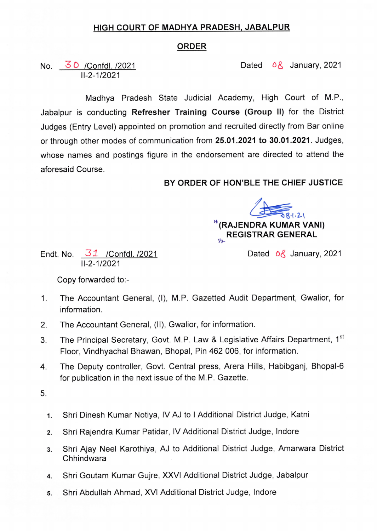## HIGH COURT OF MADHYA PRADESH. JABALPUR

## ORDER

No. 30 /Confdl./2021 11-2-1 /2021

Dated OR January, 2021

Madhya Pradesh State Judicial Academy, High Court of M.P., Jabalpur is conducting Refresher Training Course (Group 11) for the District Judges (Entry Level) appointed on promotion and recruited directly from Bar online or through other modes of communication from 25.01.2021 to 30.01.2021. Judges, whose names and postings figure in the endorsement are directed to attend the aforesaid Course.

## BY ORDER OF HON'BLE THE CHIEF JUSTICE

 $R^*$ (RAJENDRA KUMAR VANI) REGISTRAR GENERAL

Dated  $\overline{O6}$  January, 2021

Endt. No. 31 / Confdl. /2021 I I-2-1 /2021

Copy forvarded to:-

- 1. The Accountant General, (I), M.P. Gazetted Audit Department, Gwalior, for information.
- 2. The Accountant General, (ll), Gwalior, for information.
- 3. The Principal Secretary, Govt. M.P. Law & Legislative Affairs Department, 1<sup>st</sup> Floor, Vindhyachal Bhawan, Bhopal, Pin 462 006, for information.
- 4. The Deputy controller, Govt. Central press, Arera Hills, Habibganj, Bhopal-6 for publication in the next issue of the M.P. Gazette.
- 5.
	- 1. Shri Dinesh Kumar Notiya, IV AJ to I Additional District Judge, Katni
	- 2. Shri Rajendra Kumar Patidar, IV Additional District Judge, Indore
	- 3. Shri Ajay Neel Karothiya, AJ to Additional District Judge, Amarvara District Chhindwara
	- 4. Shri Goutam Kumar Gujre, XXVI Additional District Judge, Jabalpur
	- 5. Shri Abdullah Ahmad, XVI Additional District Judge, lndore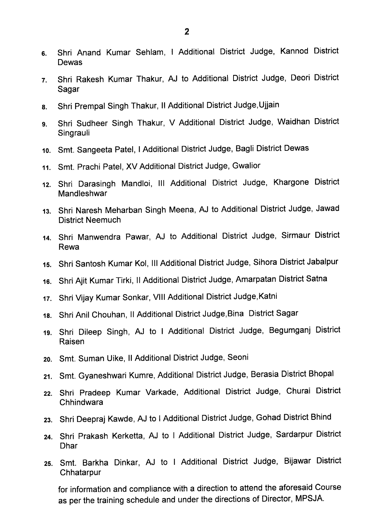- 6. Shri Anand Kumar Sehlam, I Additional District Judge, Kannod District Dewas
- 7' Shri Rakesh Kumar Thakur, AJ to Additional District Judge, Deori District Sagar
- Shri Prempal Singh Thakur, II Additional District Judge, Ujjain 8.
- Shri Sudheer Singh Thakur, V Additional District Judge, Waidhan District  $9<sub>1</sub>$ Singrauli
- 1o. Smt. Sangeeta Patel,I Additional District Judge, Bagli District Dewas
- 11. Smt. Prachi Patel, XV Additional District Judge, Gwalior
- 12. Shri Darasingh Mandloi, Ill Additional District Judge, Khargone District Mandleshwar
- 13. Shri Naresh Meharban Singh Meena, AJ to Additional District Judge, Jawad District Neemuch
- 14. Shri Manwendra Pawar, AJ to Additional District Judge, Sirmaur District Rewa
- 15. Shri Santosh Kumar Kol, III Additional District Judge, Sihora District Jabalpur
- 16. Shri Ajit Kumar Tirki, Il Additional District Judge, Amarpatan District Satna
- 17. Shri Vijay Kumar Sonkar, Vlll Additional District Judge,Katni
- 18. Shri Anil Chouhan, II Additional District Judge, Bina District Sagar
- 19. Shri Dileep Singh, AJ to I Additional District Judge, Begumganj District Raisen
- 2o. Smt. Suman Uike,11 Additional District Judge, Seoni
- 21. Smt. Gyaneshwari Kumre, Additional District Judge, Berasia District Bhopal
- 22. Shri Pradeep Kumar Varkade, Additional District Judge, Churai District Chhindwara
- 23. Shri Deepraj Kawde, AJ to I Additional District Judge, Gohad District Bhind
- 24. Shri Prakash Kerketta, AJ to I Additional District Judge, Sardarpur District Dhar
- 25. Smt. Barkha Dinkar, AJ to I Additional District Judge, Bijawar District **Chhatarpur**

for information and compliance with a direction to attend the aforesaid Course as per the training schedule and under the directions of Director, MPSJA.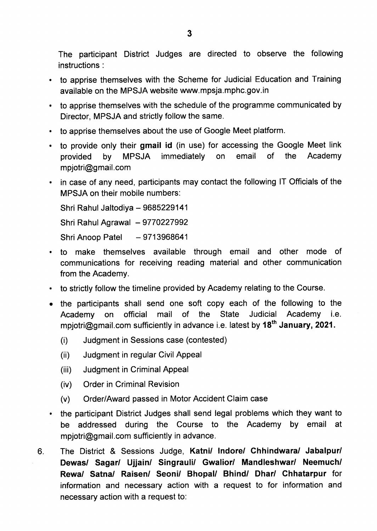The participant District Judges are directed to observe the following instructions :

- to apprise themselves with the Scheme for Judicial Education and Training available on the MPSJA website www.mpsja.mphc.gov.in
- to apprise themselves with the schedule of the programme communicated by Director, MPSJA and strictly follow the same.
- to apprise themselves about the use of Google Meet platform.
- to provide only their gmail id (in use) for accessing the Google Meet link provided by MPSJA immediately on email of the Academy mpjotri@gmail.com
- in case of any need, participants may contact the following lT Officials of the MPSJA on their mobile numbers:

Shri Rahul Jaltodiya - 9685229141

Shri Rahul Agrawal  $-9770227992$ 

Shri Anoop Patel  $-9713968641$ 

- to make themselves available through email and other mode of communications for receiving reading material and other communication from the Academy.
- to strictly follow the timeline provided by Academy relating to the Course.
- the participants shall send one soft copy each of the following to the Academy on official mail of the State Judicial Academy i.e. mpjotri@gmail.com sufficiently in advance i.e. latest by  $18^{th}$  January, 2021.
	- (i) Judgment in sessions case (contested)
	- (ii) Judgment in regular Civil Appeal
	- (iii) Judgment in Criminal Appeal
	- (iv) Order in Criminal Revision
	- (v) Order/Award passed in Motor Accident Claim case
- the participant District Judges shall send legal problems which they want to be addressed during the Course to the Academy by email at mpjotri@gmail.com sufficiently in advance.
- 6. The District & Sessions Judge, Katni/ lndore/ Chhindwara/ Jabalpur/ Dewas/ Sagar/ Ujjain/ Singrauli/ Gwalior/ Mandleshwar/ Neemuch/ Rewa/ Satna/ Raisen/ Seoni/ Bhopal/ Bhind/ Dhar/ Chhatarpur for information and necessary action with a request to for information and necessary action with a request to: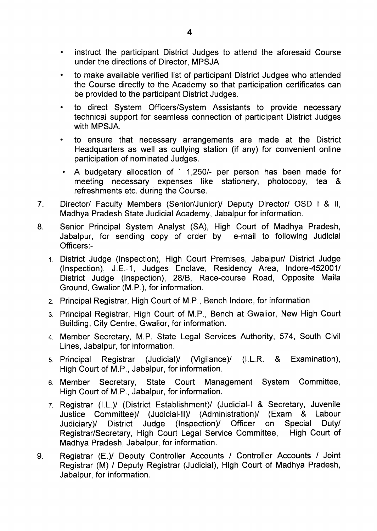- instruct the participant District Judges to attend the aforesaid Course  $\bullet$ under the directions of Director, MPSJA
- to make available verified list of participant District Judges who attended  $\bullet$ the Course directly to the Academy so that participation certificates can be provided to the participant District Judges.
- to direct System Officers/System Assistants to provide necessary technical support for seamless connection of participant District Judges with MPSJA.
- to ensure that necessary arrangements are made at the District  $\bullet$ Headquarters as well as outlying station (if any) for convenient online participation of nominated Judges.
- A budgetary allocation of ` 1,250/- per person has been made for meeting necessary expenses like stationery, photocopy, tea & refreshments etc. during the Course.
- $7<sub>1</sub>$ Director/ Faculty Members (Senior/Junior)/ Deputy Director/ OSD I & 11, Madhya Pradesh State Judicial Academy, Jabalpur for information.
- 8. Senior Principal System Analyst (SA), High Court of Madhya Pradesh, Jabalpur, for sending copy of order by e-mail to following Judicial Officers:-
	- 1. District Judge (Inspection), High Court Premises, Jabalpur/ District Judge (Inspection), J.E.-1, Judges Enclave, Residency Area, lndore-452001/ District Judge (Inspection), 28/8, Race-course Road, Opposite Maila Ground, Gwalior (M.P.), for information.
	- 2. Principal Registrar, High Court of M.P., Bench lndore, for information
	- 3, Principal Registrar, High Court of M.P., Bench at Gwalior, New High Court Building, City Centre, Gwalior, for information.
	- 4. Member Secretary, M.P. State Legal Services Authority, 574, South Civil Lines, Jabalpur, for information.
	- 5. Principal Registrar (Judicial)/ (Vigilance)/ (I.L.R. & Examination), High Court of M.P., Jabalpur, for information.
	- 6. Member Secretary, State Court Management System Committee, High Court of M.P., Jabalpur, for information.
	- 7. Registrar (I.L.)/ (District Establishment)/ (Judicial-I & Secretary, Juvenile Justice Committee)/ (Judicial-ll)/ (Administration)/ (Exam & Labour Judiciary)/ District Judge (Inspection)/ Officer on Special Duty/ Registrar/Secretary, High Court Legal Service Committee, High Court of Madhya Pradesh, Jabalpur, for information.
- 9. Registrar (E.)/ Deputy Controller Accounts / Controller Accounts / Joint Registrar (M) / Deputy Registrar (Judicial), High Court of Madhya Pradesh, Jabalpur, for information.